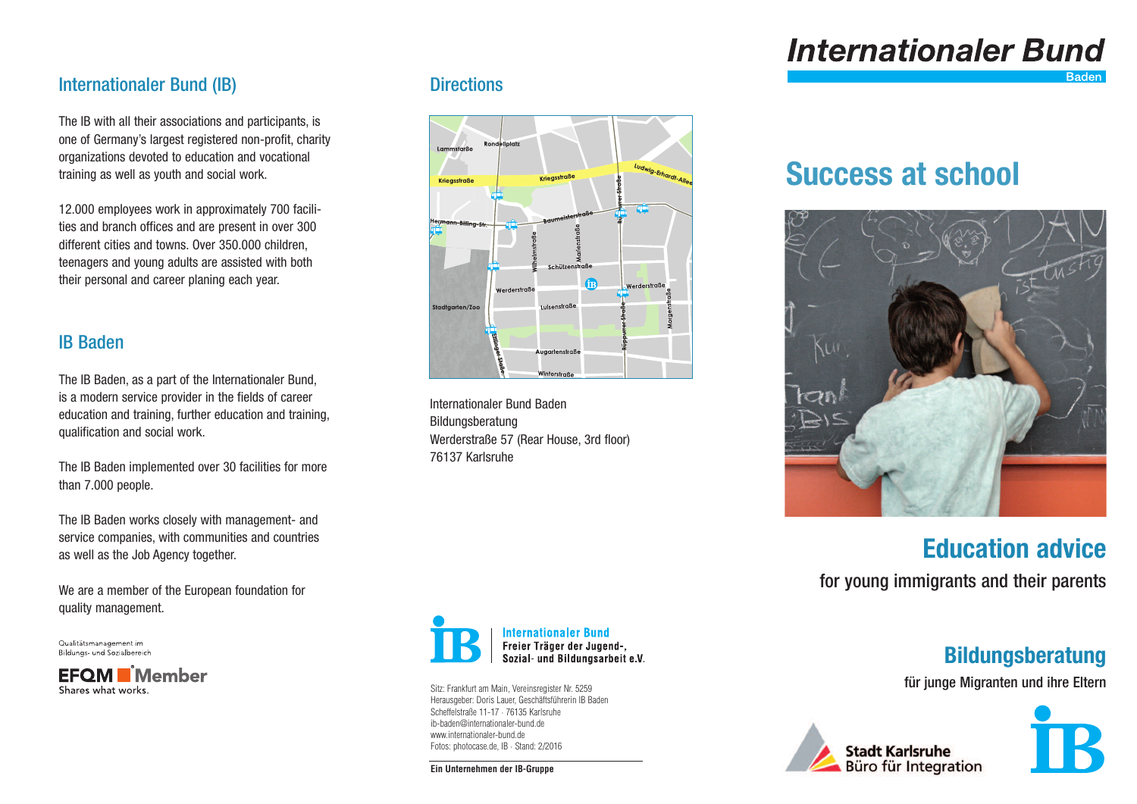# **Internationaler Bund**

## Internationaler Bund (IB)

The IB with all their associations and participants, is one of Germany's largest registered non-profit, charity organizations devoted to education and vocational training as well as youth and social work.

12.000 employees work in approximately 700 facilities and branch offices and are present in over 300 different cities and towns. Over 350.000 children, teenagers and young adults are assisted with both their personal and career planing each year.

## IB Baden

The IB Baden, as a part of the Internationaler Bund, is a modern service provider in the fields of career education and training, further education and training, qualification and social work.

The IB Baden implemented over 30 facilities for more than 7.000 people.

The IB Baden works closely with management- and service companies, with communities and countries as well as the Job Agency together.

We are a member of the European foundation for quality management.

Qualitätsmanagement im Bildunas- und Sozialbereich

**EFOM Member** Shares what works

#### **Directions**



Internationaler Bund Baden Bildungsberatung Werderstraße 57 (Rear House, 3rd floor) 76137 Karlsruhe

## **Success at school**



**Education advice**

for young immigrants and their parents

## **Bildungsberatung**

für junge Migranten und ihre Eltern







**Internationaler Bund** Freier Träger der Jugend-, Sozial- und Bildungsarbeit e.V.

Sitz: Frankfurt am Main, Vereinsregister Nr. 5259 Herausgeber: Doris Lauer, Geschäftsführerin IB Baden Scheffelstraße 11-17 · 76135 Karlsruhe ib-baden@internationaler-bund.de www.internationaler-bund.de Fotos: photocase.de, IB · Stand: 2/2016

**Ein Unternehmen der IB-Gruppe**